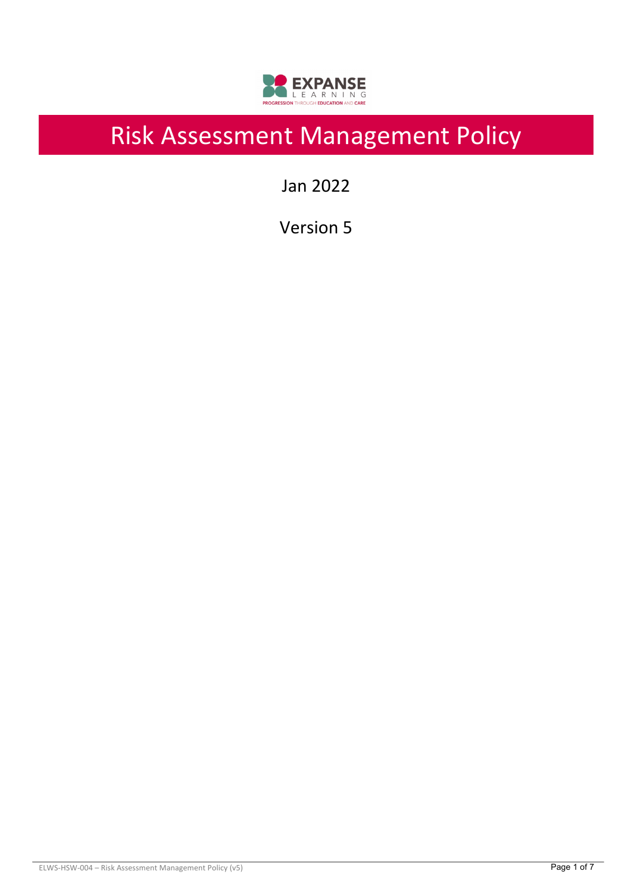

# Risk Assessment Management Policy

Jan 2022

Version 5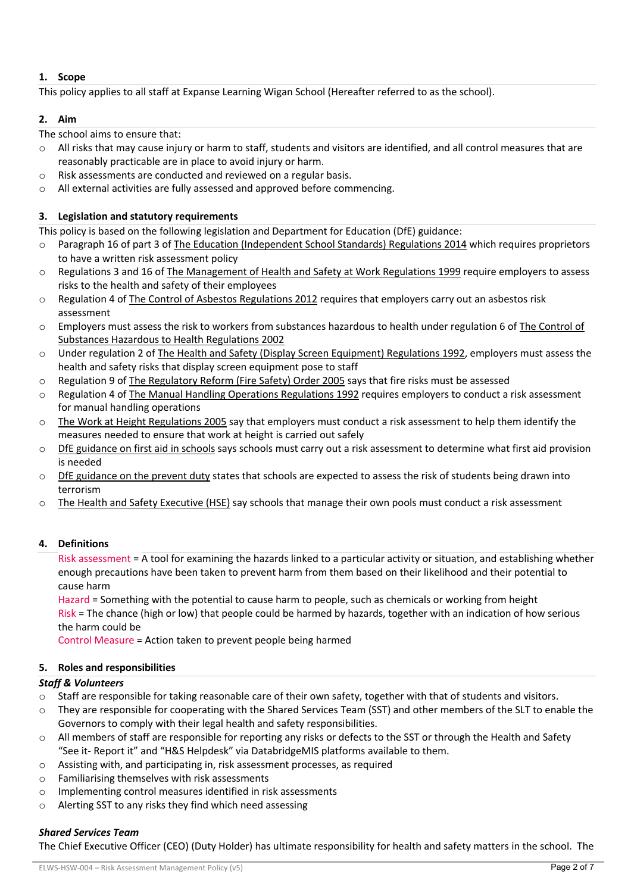# **1. Scope**

This policy applies to all staff at Expanse Learning Wigan School (Hereafter referred to as the school).

## **2. Aim**

The school aims to ensure that:

- $\circ$  All risks that may cause injury or harm to staff, students and visitors are identified, and all control measures that are reasonably practicable are in place to avoid injury or harm.
- o Risk assessments are conducted and reviewed on a regular basis.
- o All external activities are fully assessed and approved before commencing.

# **3. Legislation and statutory requirements**

This policy is based on the following legislation and Department for Education (DfE) guidance:

- o Paragraph 16 of part 3 of The Education (Independent School Standards) Regulations 2014 which requires proprietors to have a written risk assessment policy
- o Regulations 3 and 16 of The Management of Health and Safety at Work Regulations 1999 require employers to assess risks to the health and safety of their employees
- $\circ$  Regulation 4 of The Control of Asbestos Regulations 2012 requires that employers carry out an asbestos risk assessment
- o Employers must assess the risk to workers from substances hazardous to health under regulation 6 of The Control of Substances Hazardous to Health Regulations 2002
- o Under regulation 2 of The Health and Safety (Display Screen Equipment) Regulations 1992, employers must assess the health and safety risks that display screen equipment pose to staff
- o Regulation 9 of The Regulatory Reform (Fire Safety) Order 2005 says that fire risks must be assessed
- o Regulation 4 of The Manual Handling Operations Regulations 1992 requires employers to conduct a risk assessment for manual handling operations
- $\circ$  The Work at Height Regulations 2005 say that employers must conduct a risk assessment to help them identify the measures needed to ensure that work at height is carried out safely
- $\circ$  DfE guidance on first aid in schools says schools must carry out a risk assessment to determine what first aid provision is needed
- $\circ$  DfE guidance on the prevent duty states that schools are expected to assess the risk of students being drawn into terrorism
- o The Health and Safety Executive (HSE) say schools that manage their own pools must conduct a risk assessment

# **4. Definitions**

Risk assessment = A tool for examining the hazards linked to a particular activity or situation, and establishing whether enough precautions have been taken to prevent harm from them based on their likelihood and their potential to cause harm

Hazard = Something with the potential to cause harm to people, such as chemicals or working from height Risk = The chance (high or low) that people could be harmed by hazards, together with an indication of how serious the harm could be

Control Measure = Action taken to prevent people being harmed

# **5. Roles and responsibilities**

# *Staff & Volunteers*

- $\circ$  Staff are responsible for taking reasonable care of their own safety, together with that of students and visitors.
- o They are responsible for cooperating with the Shared Services Team (SST) and other members of the SLT to enable the Governors to comply with their legal health and safety responsibilities.
- $\circ$  All members of staff are responsible for reporting any risks or defects to the SST or through the Health and Safety "See it- Report it" and "H&S Helpdesk" via DatabridgeMIS platforms available to them.
- o Assisting with, and participating in, risk assessment processes, as required
- o Familiarising themselves with risk assessments
- o Implementing control measures identified in risk assessments
- o Alerting SST to any risks they find which need assessing

# *Shared Services Team*

The Chief Executive Officer (CEO) (Duty Holder) has ultimate responsibility for health and safety matters in the school. The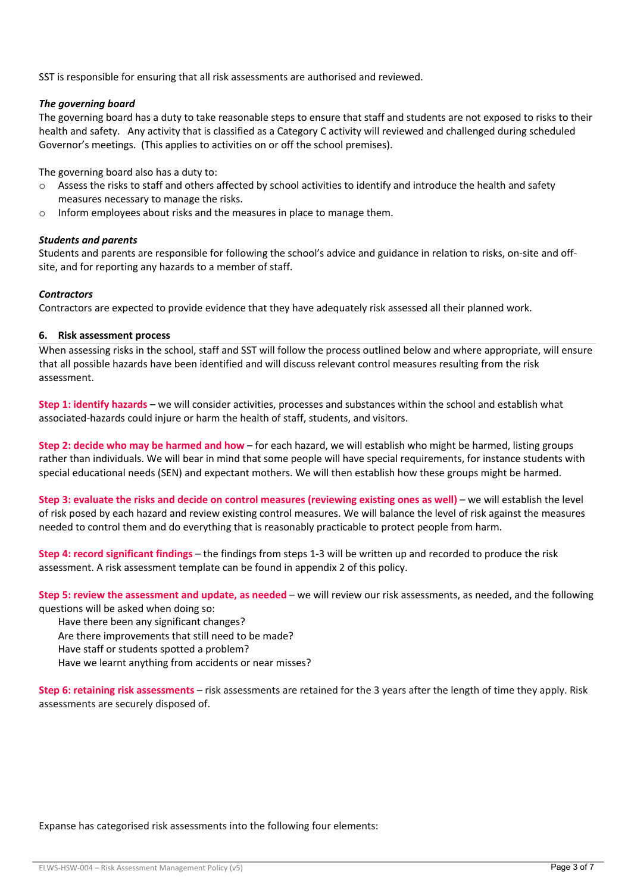SST is responsible for ensuring that all risk assessments are authorised and reviewed.

## *The governing board*

The governing board has a duty to take reasonable steps to ensure that staff and students are not exposed to risks to their health and safety. Any activity that is classified as a Category C activity will reviewed and challenged during scheduled Governor's meetings. (This applies to activities on or off the school premises).

The governing board also has a duty to:

- o Assess the risks to staff and others affected by school activities to identify and introduce the health and safety measures necessary to manage the risks.
- o Inform employees about risks and the measures in place to manage them.

#### *Students and parents*

Students and parents are responsible for following the school's advice and guidance in relation to risks, on-site and offsite, and for reporting any hazards to a member of staff.

#### *Contractors*

Contractors are expected to provide evidence that they have adequately risk assessed all their planned work.

#### **6. Risk assessment process**

When assessing risks in the school, staff and SST will follow the process outlined below and where appropriate, will ensure that all possible hazards have been identified and will discuss relevant control measures resulting from the risk assessment.

**Step 1: identify hazards** – we will consider activities, processes and substances within the school and establish what associated-hazards could injure or harm the health of staff, students, and visitors.

**Step 2: decide who may be harmed and how** – for each hazard, we will establish who might be harmed, listing groups rather than individuals. We will bear in mind that some people will have special requirements, for instance students with special educational needs (SEN) and expectant mothers. We will then establish how these groups might be harmed.

**Step 3: evaluate the risks and decide on control measures (reviewing existing ones as well)** – we will establish the level of risk posed by each hazard and review existing control measures. We will balance the level of risk against the measures needed to control them and do everything that is reasonably practicable to protect people from harm.

**Step 4: record significant findings** – the findings from steps 1-3 will be written up and recorded to produce the risk assessment. A risk assessment template can be found in appendix 2 of this policy.

**Step 5: review the assessment and update, as needed** – we will review our risk assessments, as needed, and the following questions will be asked when doing so:

Have there been any significant changes?

Are there improvements that still need to be made?

Have staff or students spotted a problem?

Have we learnt anything from accidents or near misses?

**Step 6: retaining risk assessments** – risk assessments are retained for the 3 years after the length of time they apply. Risk assessments are securely disposed of.

Expanse has categorised risk assessments into the following four elements: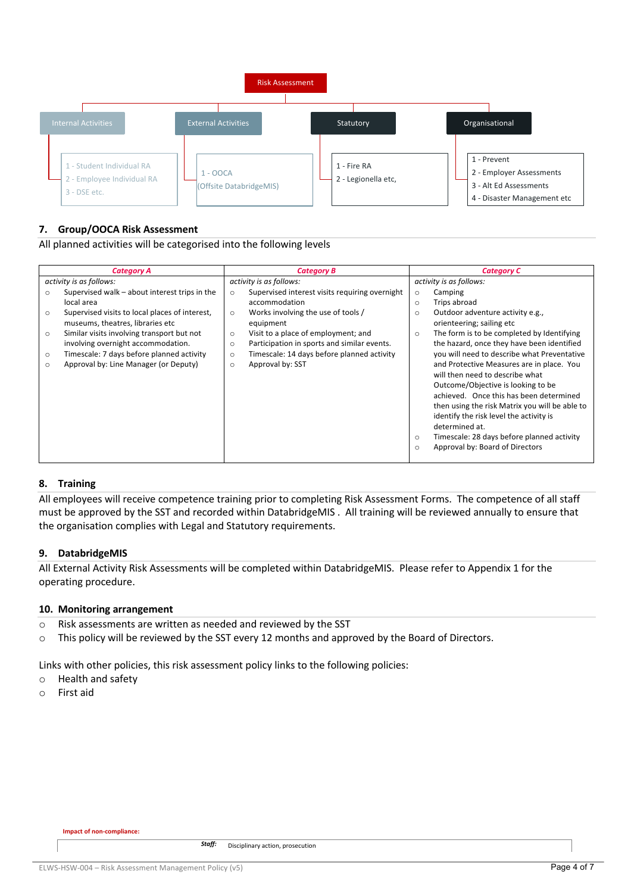

# **7. Group/OOCA Risk Assessment**

All planned activities will be categorised into the following levels

| <b>Category A</b>       |                                                | <b>Category B</b>       |                                                | <b>Category C</b>       |                                                |  |
|-------------------------|------------------------------------------------|-------------------------|------------------------------------------------|-------------------------|------------------------------------------------|--|
| activity is as follows: |                                                | activity is as follows: |                                                | activity is as follows: |                                                |  |
| $\circ$                 | Supervised walk - about interest trips in the  | $\circ$                 | Supervised interest visits requiring overnight | $\circ$                 | Camping                                        |  |
|                         | local area                                     |                         | accommodation                                  | $\circ$                 | Trips abroad                                   |  |
| $\circ$                 | Supervised visits to local places of interest, | $\circ$                 | Works involving the use of tools /             | $\circ$                 | Outdoor adventure activity e.g.,               |  |
|                         | museums, theatres, libraries etc               |                         | equipment                                      |                         | orienteering; sailing etc                      |  |
| $\circ$                 | Similar visits involving transport but not     | $\circ$                 | Visit to a place of employment; and            | $\circ$                 | The form is to be completed by Identifying     |  |
|                         | involving overnight accommodation.             | $\circ$                 | Participation in sports and similar events.    |                         | the hazard, once they have been identified     |  |
| $\circ$                 | Timescale: 7 days before planned activity      | $\circ$                 | Timescale: 14 days before planned activity     |                         | you will need to describe what Preventative    |  |
| $\circ$                 | Approval by: Line Manager (or Deputy)          | $\circ$                 | Approval by: SST                               |                         | and Protective Measures are in place. You      |  |
|                         |                                                |                         |                                                |                         | will then need to describe what                |  |
|                         |                                                |                         |                                                |                         | Outcome/Objective is looking to be             |  |
|                         |                                                |                         |                                                |                         | achieved. Once this has been determined        |  |
|                         |                                                |                         |                                                |                         | then using the risk Matrix you will be able to |  |
|                         |                                                |                         |                                                |                         | identify the risk level the activity is        |  |
|                         |                                                |                         |                                                |                         | determined at.                                 |  |
|                         |                                                |                         |                                                | $\circ$                 | Timescale: 28 days before planned activity     |  |
|                         |                                                |                         |                                                | $\circ$                 | Approval by: Board of Directors                |  |
|                         |                                                |                         |                                                |                         |                                                |  |

#### **8. Training**

All employees will receive competence training prior to completing Risk Assessment Forms. The competence of all staff must be approved by the SST and recorded within DatabridgeMIS . All training will be reviewed annually to ensure that the organisation complies with Legal and Statutory requirements.

#### **9. DatabridgeMIS**

All External Activity Risk Assessments will be completed within DatabridgeMIS. Please refer to Appendix 1 for the operating procedure.

#### **10. Monitoring arrangement**

- o Risk assessments are written as needed and reviewed by the SST
- o This policy will be reviewed by the SST every 12 months and approved by the Board of Directors.

Links with other policies, this risk assessment policy links to the following policies:

- o Health and safety
- o First aid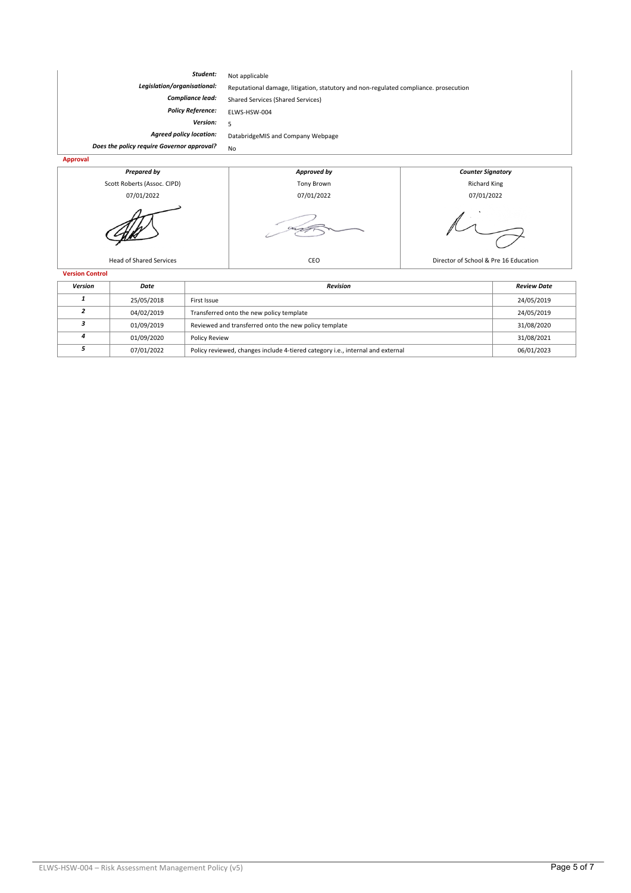| Student:                                         | Not applicable                                                                       |                          |  |  |  |
|--------------------------------------------------|--------------------------------------------------------------------------------------|--------------------------|--|--|--|
| Legislation/organisational:                      | Reputational damage, litigation, statutory and non-regulated compliance. prosecution |                          |  |  |  |
| <b>Compliance lead:</b>                          | Shared Services (Shared Services)                                                    |                          |  |  |  |
| <b>Policy Reference:</b>                         | ELWS-HSW-004                                                                         |                          |  |  |  |
| Version:                                         |                                                                                      |                          |  |  |  |
| <b>Agreed policy location:</b>                   | DatabridgeMIS and Company Webpage                                                    |                          |  |  |  |
| Does the policy require Governor approval?<br>No |                                                                                      |                          |  |  |  |
| Approval                                         |                                                                                      |                          |  |  |  |
| Prepared by                                      | Approved by                                                                          | <b>Counter Signatory</b> |  |  |  |



| 25/05/2018 | First Issue                                                                    | 24/05/2019 |
|------------|--------------------------------------------------------------------------------|------------|
| 04/02/2019 | Transferred onto the new policy template                                       | 24/05/2019 |
| 01/09/2019 | Reviewed and transferred onto the new policy template                          | 31/08/2020 |
| 01/09/2020 | Policy Review                                                                  | 31/08/2021 |
| 07/01/2022 | Policy reviewed, changes include 4-tiered category i.e., internal and external | 06/01/2023 |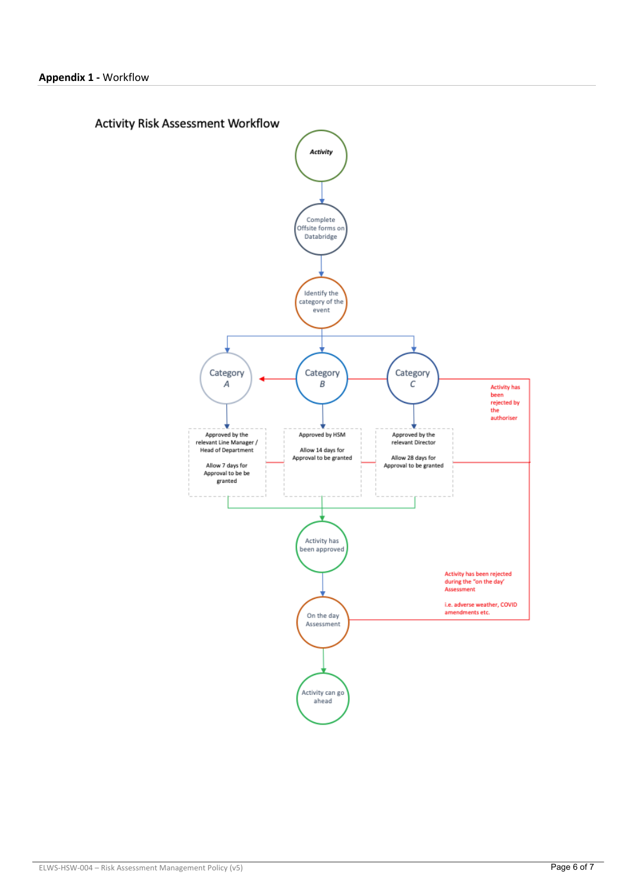